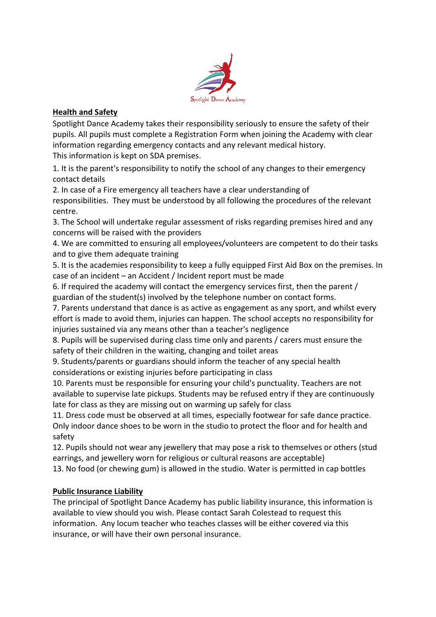

# **Health and Safety**

Spotlight Dance Academy takes their responsibility seriously to ensure the safety of their pupils. All pupils must complete a Registration Form when joining the Academy with clear information regarding emergency contacts and any relevant medical history.

This information is kept on SDA premises.

1. It is the parent's responsibility to notify the school of any changes to their emergency contact details

2. In case of a Fire emergency all teachers have a clear understanding of responsibilities. They must be understood by all following the procedures of the relevant centre.

3. The School will undertake regular assessment of risks regarding premises hired and any concerns will be raised with the providers

4. We are committed to ensuring all employees/volunteers are competent to do their tasks and to give them adequate training

5. It is the academies responsibility to keep a fully equipped First Aid Box on the premises. In case of an incident – an Accident / Incident report must be made

6. If required the academy will contact the emergency services first, then the parent / guardian of the student(s) involved by the telephone number on contact forms.

7. Parents understand that dance is as active as engagement as any sport, and whilst every effort is made to avoid them, injuries can happen. The school accepts no responsibility for injuries sustained via any means other than a teacher's negligence

8. Pupils will be supervised during class time only and parents / carers must ensure the safety of their children in the waiting, changing and toilet areas

9. Students/parents or guardians should inform the teacher of any special health considerations or existing injuries before participating in class

10. Parents must be responsible for ensuring your child's punctuality. Teachers are not available to supervise late pickups. Students may be refused entry if they are continuously late for class as they are missing out on warming up safely for class

11. Dress code must be observed at all times, especially footwear for safe dance practice. Only indoor dance shoes to be worn in the studio to protect the floor and for health and safety

12. Pupils should not wear any jewellery that may pose a risk to themselves or others (stud earrings, and jewellery worn for religious or cultural reasons are acceptable)

13. No food (or chewing gum) is allowed in the studio. Water is permitted in cap bottles

# **Public Insurance Liability**

The principal of Spotlight Dance Academy has public liability insurance, this information is available to view should you wish. Please contact Sarah Colestead to request this information. Any locum teacher who teaches classes will be either covered via this insurance, or will have their own personal insurance.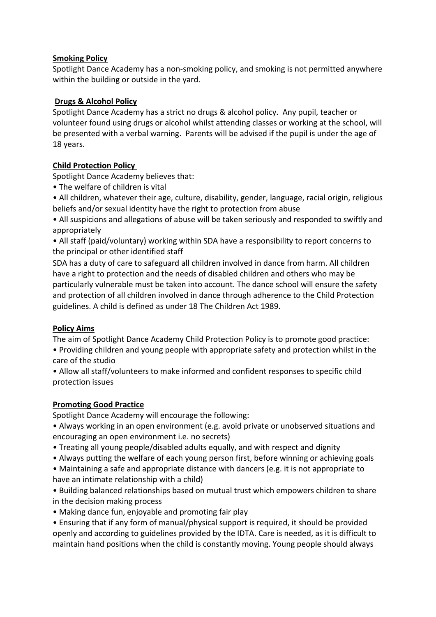## **Smoking Policy**

Spotlight Dance Academy has a non-smoking policy, and smoking is not permitted anywhere within the building or outside in the yard.

#### **Drugs & Alcohol Policy**

Spotlight Dance Academy has a strict no drugs & alcohol policy. Any pupil, teacher or volunteer found using drugs or alcohol whilst attending classes or working at the school, will be presented with a verbal warning. Parents will be advised if the pupil is under the age of 18 years.

## **Child Protection Policy**

Spotlight Dance Academy believes that:

• The welfare of children is vital

• All children, whatever their age, culture, disability, gender, language, racial origin, religious beliefs and/or sexual identity have the right to protection from abuse

• All suspicions and allegations of abuse will be taken seriously and responded to swiftly and appropriately

• All staff (paid/voluntary) working within SDA have a responsibility to report concerns to the principal or other identified staff

SDA has a duty of care to safeguard all children involved in dance from harm. All children have a right to protection and the needs of disabled children and others who may be particularly vulnerable must be taken into account. The dance school will ensure the safety and protection of all children involved in dance through adherence to the Child Protection guidelines. A child is defined as under 18 The Children Act 1989.

## **Policy Aims**

The aim of Spotlight Dance Academy Child Protection Policy is to promote good practice:

• Providing children and young people with appropriate safety and protection whilst in the care of the studio

• Allow all staff/volunteers to make informed and confident responses to specific child protection issues

## **Promoting Good Practice**

Spotlight Dance Academy will encourage the following:

- Always working in an open environment (e.g. avoid private or unobserved situations and encouraging an open environment i.e. no secrets)
- Treating all young people/disabled adults equally, and with respect and dignity
- Always putting the welfare of each young person first, before winning or achieving goals

• Maintaining a safe and appropriate distance with dancers (e.g. it is not appropriate to have an intimate relationship with a child)

• Building balanced relationships based on mutual trust which empowers children to share in the decision making process

• Making dance fun, enjoyable and promoting fair play

• Ensuring that if any form of manual/physical support is required, it should be provided openly and according to guidelines provided by the IDTA. Care is needed, as it is difficult to maintain hand positions when the child is constantly moving. Young people should always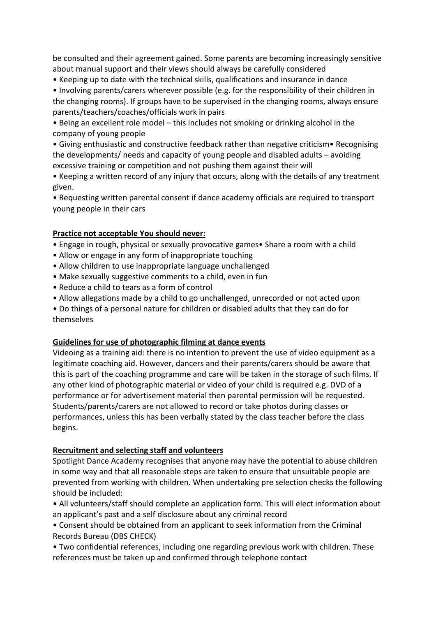be consulted and their agreement gained. Some parents are becoming increasingly sensitive about manual support and their views should always be carefully considered

• Keeping up to date with the technical skills, qualifications and insurance in dance

• Involving parents/carers wherever possible (e.g. for the responsibility of their children in the changing rooms). If groups have to be supervised in the changing rooms, always ensure parents/teachers/coaches/officials work in pairs

• Being an excellent role model – this includes not smoking or drinking alcohol in the company of young people

• Giving enthusiastic and constructive feedback rather than negative criticism• Recognising the developments/ needs and capacity of young people and disabled adults – avoiding excessive training or competition and not pushing them against their will

• Keeping a written record of any injury that occurs, along with the details of any treatment given.

• Requesting written parental consent if dance academy officials are required to transport young people in their cars

## **Practice not acceptable You should never:**

- Engage in rough, physical or sexually provocative games• Share a room with a child
- Allow or engage in any form of inappropriate touching
- Allow children to use inappropriate language unchallenged
- Make sexually suggestive comments to a child, even in fun
- Reduce a child to tears as a form of control
- Allow allegations made by a child to go unchallenged, unrecorded or not acted upon

• Do things of a personal nature for children or disabled adults that they can do for themselves

#### **Guidelines for use of photographic filming at dance events**

Videoing as a training aid: there is no intention to prevent the use of video equipment as a legitimate coaching aid. However, dancers and their parents/carers should be aware that this is part of the coaching programme and care will be taken in the storage of such films. If any other kind of photographic material or video of your child is required e.g. DVD of a performance or for advertisement material then parental permission will be requested. Students/parents/carers are not allowed to record or take photos during classes or performances, unless this has been verbally stated by the class teacher before the class begins.

#### **Recruitment and selecting staff and volunteers**

Spotlight Dance Academy recognises that anyone may have the potential to abuse children in some way and that all reasonable steps are taken to ensure that unsuitable people are prevented from working with children. When undertaking pre selection checks the following should be included:

• All volunteers/staff should complete an application form. This will elect information about an applicant's past and a self disclosure about any criminal record

• Consent should be obtained from an applicant to seek information from the Criminal Records Bureau (DBS CHECK)

• Two confidential references, including one regarding previous work with children. These references must be taken up and confirmed through telephone contact